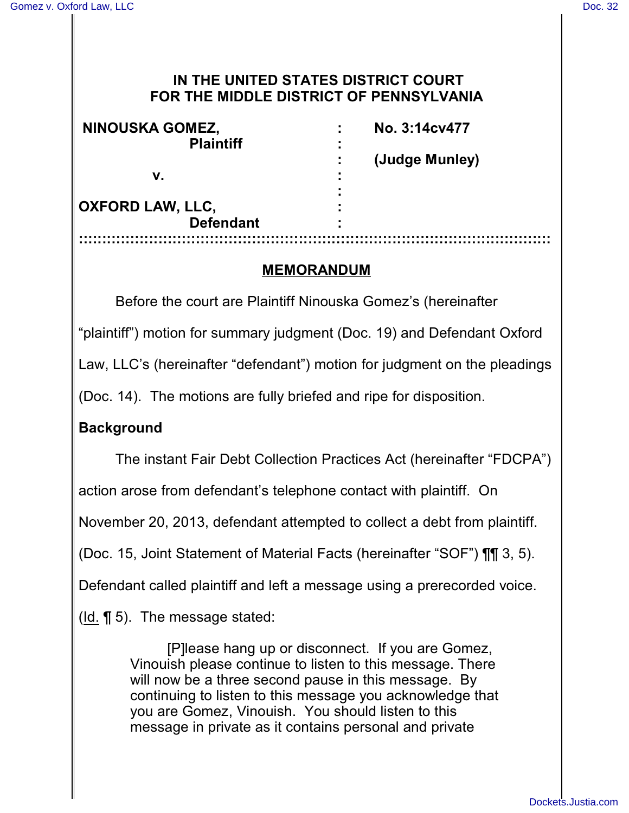## **IN THE UNITED STATES DISTRICT COURT FOR THE MIDDLE DISTRICT OF PENNSYLVANIA**

| NINOUSKA GOMEZ,<br><b>Plaintiff</b> | No. 3:14cv477  |
|-------------------------------------|----------------|
|                                     | (Judge Munley) |
| v.                                  |                |
| <b>OXFORD LAW, LLC,</b>             |                |
| <b>Defendant</b>                    |                |
|                                     |                |

## **MEMORANDUM**

Before the court are Plaintiff Ninouska Gomez's (hereinafter

"plaintiff") motion for summary judgment (Doc. 19) and Defendant Oxford

Law, LLC's (hereinafter "defendant") motion for judgment on the pleadings

(Doc. 14). The motions are fully briefed and ripe for disposition.

## **Background**

The instant Fair Debt Collection Practices Act (hereinafter "FDCPA")

action arose from defendant's telephone contact with plaintiff. On

November 20, 2013, defendant attempted to collect a debt from plaintiff.

(Doc. 15, Joint Statement of Material Facts (hereinafter "SOF") ¶¶ 3, 5).

Defendant called plaintiff and left a message using a prerecorded voice.

(Id. ¶ 5). The message stated:

[P]lease hang up or disconnect. If you are Gomez, Vinouish please continue to listen to this message. There will now be a three second pause in this message. By continuing to listen to this message you acknowledge that you are Gomez, Vinouish. You should listen to this message in private as it contains personal and private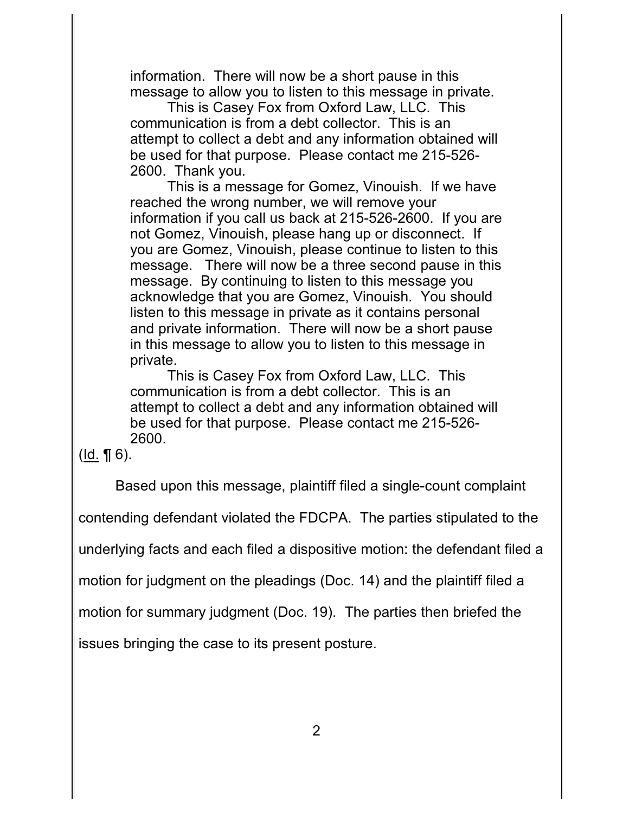information. There will now be a short pause in this message to allow you to listen to this message in private.

This is Casey Fox from Oxford Law, LLC. This communication is from a debt collector. This is an attempt to collect a debt and any information obtained will be used for that purpose. Please contact me 215-526- 2600. Thank you.

This is a message for Gomez, Vinouish. If we have reached the wrong number, we will remove your information if you call us back at 215-526-2600. If you are not Gomez, Vinouish, please hang up or disconnect. If you are Gomez, Vinouish, please continue to listen to this message. There will now be a three second pause in this message. By continuing to listen to this message you acknowledge that you are Gomez, Vinouish. You should listen to this message in private as it contains personal and private information. There will now be a short pause in this message to allow you to listen to this message in private.

This is Casey Fox from Oxford Law, LLC. This communication is from a debt collector. This is an attempt to collect a debt and any information obtained will be used for that purpose. Please contact me 215-526- 2600.

 $(Id.  $\P$  6).$ </u>

Based upon this message, plaintiff filed a single-count complaint

contending defendant violated the FDCPA. The parties stipulated to the

underlying facts and each filed a dispositive motion: the defendant filed a

motion for judgment on the pleadings (Doc. 14) and the plaintiff filed a

motion for summary judgment (Doc. 19). The parties then briefed the

issues bringing the case to its present posture.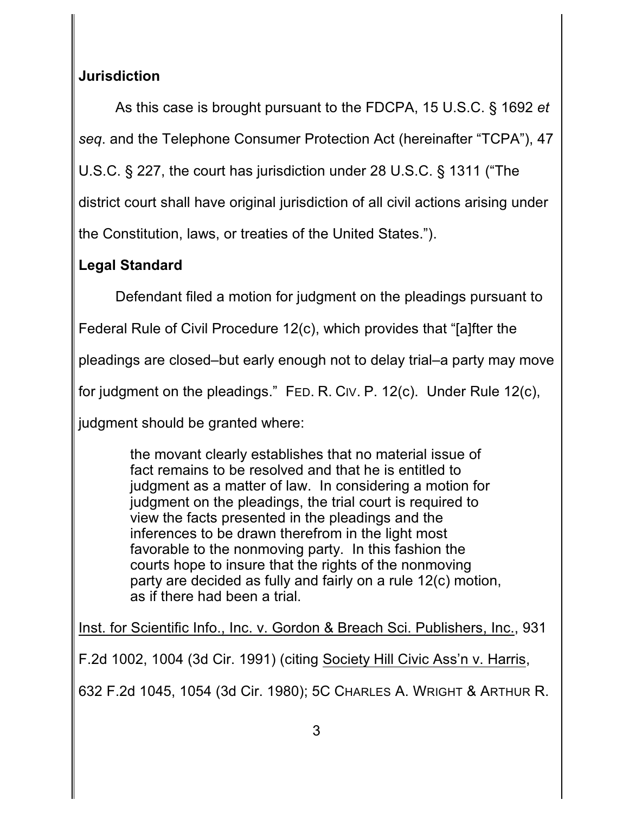# **Jurisdiction**

As this case is brought pursuant to the FDCPA, 15 U.S.C. § 1692 *et seq*. and the Telephone Consumer Protection Act (hereinafter "TCPA"), 47 U.S.C. § 227, the court has jurisdiction under 28 U.S.C. § 1311 ("The

district court shall have original jurisdiction of all civil actions arising under

the Constitution, laws, or treaties of the United States.").

# **Legal Standard**

Defendant filed a motion for judgment on the pleadings pursuant to

Federal Rule of Civil Procedure 12(c), which provides that "[a]fter the

pleadings are closed–but early enough not to delay trial–a party may move

for judgment on the pleadings." FED. R. CIV. P. 12(c). Under Rule 12(c),

judgment should be granted where:

the movant clearly establishes that no material issue of fact remains to be resolved and that he is entitled to judgment as a matter of law. In considering a motion for judgment on the pleadings, the trial court is required to view the facts presented in the pleadings and the inferences to be drawn therefrom in the light most favorable to the nonmoving party. In this fashion the courts hope to insure that the rights of the nonmoving party are decided as fully and fairly on a rule 12(c) motion, as if there had been a trial.

Inst. for Scientific Info., Inc. v. Gordon & Breach Sci. Publishers, Inc., 931

F.2d 1002, 1004 (3d Cir. 1991) (citing Society Hill Civic Ass'n v. Harris,

632 F.2d 1045, 1054 (3d Cir. 1980); 5C CHARLES A. WRIGHT & ARTHUR R.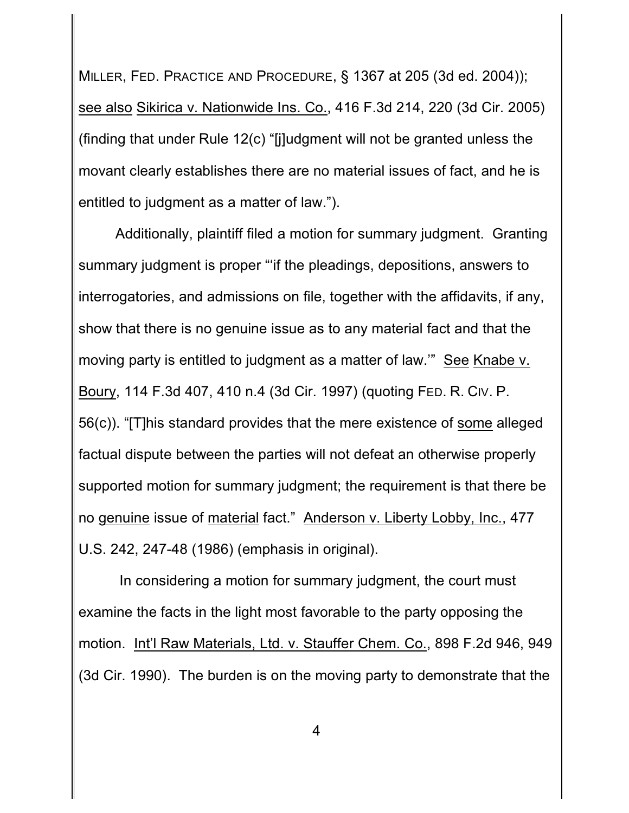MILLER, FED. PRACTICE AND PROCEDURE, § 1367 at 205 (3d ed. 2004)); see also Sikirica v. Nationwide Ins. Co., 416 F.3d 214, 220 (3d Cir. 2005) (finding that under Rule 12(c) "[j]udgment will not be granted unless the movant clearly establishes there are no material issues of fact, and he is entitled to judgment as a matter of law.").

Additionally, plaintiff filed a motion for summary judgment. Granting summary judgment is proper "'if the pleadings, depositions, answers to interrogatories, and admissions on file, together with the affidavits, if any, show that there is no genuine issue as to any material fact and that the moving party is entitled to judgment as a matter of law.'" See Knabe v. Boury, 114 F.3d 407, 410 n.4 (3d Cir. 1997) (quoting FED. R. CIV. P. 56(c)). "[T]his standard provides that the mere existence of some alleged factual dispute between the parties will not defeat an otherwise properly supported motion for summary judgment; the requirement is that there be no genuine issue of material fact." Anderson v. Liberty Lobby, Inc., 477 U.S. 242, 247-48 (1986) (emphasis in original).

 In considering a motion for summary judgment, the court must examine the facts in the light most favorable to the party opposing the motion. Int'l Raw Materials, Ltd. v. Stauffer Chem. Co., 898 F.2d 946, 949 (3d Cir. 1990). The burden is on the moving party to demonstrate that the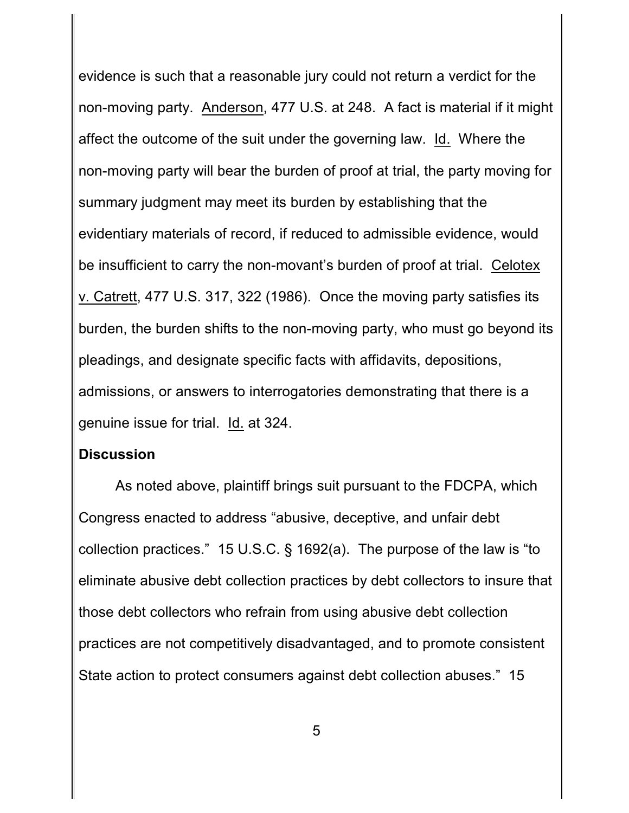evidence is such that a reasonable jury could not return a verdict for the non-moving party. Anderson, 477 U.S. at 248. A fact is material if it might affect the outcome of the suit under the governing law. Id. Where the non-moving party will bear the burden of proof at trial, the party moving for summary judgment may meet its burden by establishing that the evidentiary materials of record, if reduced to admissible evidence, would be insufficient to carry the non-movant's burden of proof at trial. Celotex v. Catrett, 477 U.S. 317, 322 (1986). Once the moving party satisfies its burden, the burden shifts to the non-moving party, who must go beyond its pleadings, and designate specific facts with affidavits, depositions, admissions, or answers to interrogatories demonstrating that there is a genuine issue for trial. Id. at 324.

### **Discussion**

As noted above, plaintiff brings suit pursuant to the FDCPA, which Congress enacted to address "abusive, deceptive, and unfair debt collection practices." 15 U.S.C. § 1692(a). The purpose of the law is "to eliminate abusive debt collection practices by debt collectors to insure that those debt collectors who refrain from using abusive debt collection practices are not competitively disadvantaged, and to promote consistent State action to protect consumers against debt collection abuses." 15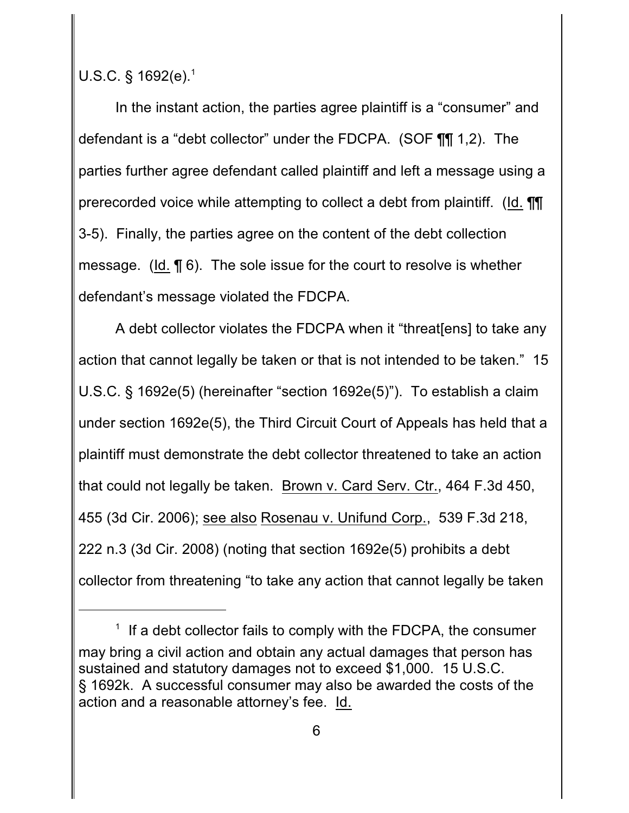U.S.C. § 1692(e).<sup>1</sup>

In the instant action, the parties agree plaintiff is a "consumer" and defendant is a "debt collector" under the FDCPA. (SOF ¶¶ 1,2). The parties further agree defendant called plaintiff and left a message using a prerecorded voice while attempting to collect a debt from plaintiff. (Id. ¶¶ 3-5). Finally, the parties agree on the content of the debt collection message. (Id. ¶ 6). The sole issue for the court to resolve is whether defendant's message violated the FDCPA.

A debt collector violates the FDCPA when it "threat[ens] to take any action that cannot legally be taken or that is not intended to be taken." 15 U.S.C. § 1692e(5) (hereinafter "section 1692e(5)"). To establish a claim under section 1692e(5), the Third Circuit Court of Appeals has held that a plaintiff must demonstrate the debt collector threatened to take an action that could not legally be taken. Brown v. Card Serv. Ctr., 464 F.3d 450, 455 (3d Cir. 2006); see also Rosenau v. Unifund Corp., 539 F.3d 218, 222 n.3 (3d Cir. 2008) (noting that section 1692e(5) prohibits a debt collector from threatening "to take any action that cannot legally be taken

 $1$  If a debt collector fails to comply with the FDCPA, the consumer may bring a civil action and obtain any actual damages that person has sustained and statutory damages not to exceed \$1,000. 15 U.S.C. § 1692k. A successful consumer may also be awarded the costs of the action and a reasonable attorney's fee. Id.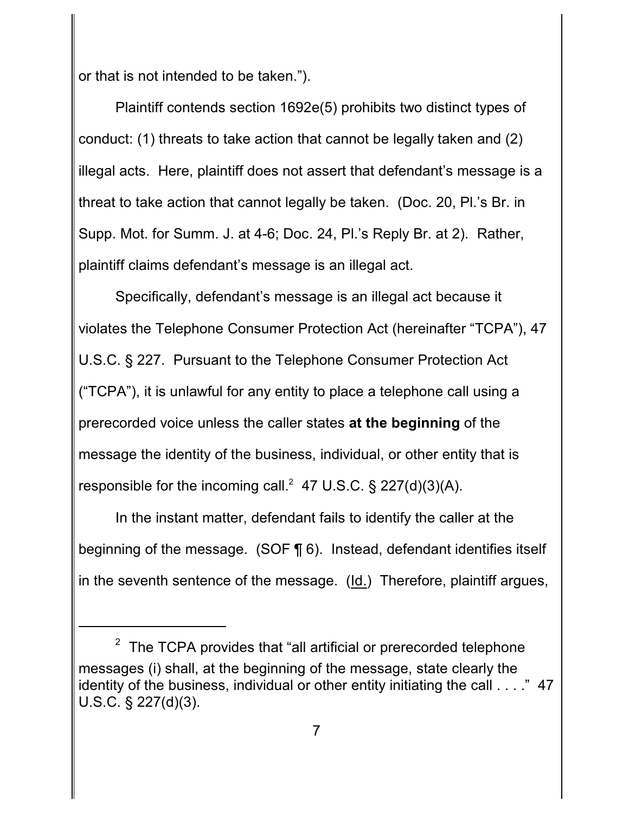or that is not intended to be taken.").

Plaintiff contends section 1692e(5) prohibits two distinct types of conduct: (1) threats to take action that cannot be legally taken and (2) illegal acts. Here, plaintiff does not assert that defendant's message is a threat to take action that cannot legally be taken. (Doc. 20, Pl.'s Br. in Supp. Mot. for Summ. J. at 4-6; Doc. 24, Pl.'s Reply Br. at 2). Rather, plaintiff claims defendant's message is an illegal act.

Specifically, defendant's message is an illegal act because it violates the Telephone Consumer Protection Act (hereinafter "TCPA"), 47 U.S.C. § 227. Pursuant to the Telephone Consumer Protection Act ("TCPA"), it is unlawful for any entity to place a telephone call using a prerecorded voice unless the caller states **at the beginning** of the message the identity of the business, individual, or other entity that is responsible for the incoming call.<sup>2</sup> 47 U.S.C. § 227(d)(3)(A).

In the instant matter, defendant fails to identify the caller at the beginning of the message. (SOF ¶ 6). Instead, defendant identifies itself in the seventh sentence of the message. (Id.) Therefore, plaintiff argues,

The TCPA provides that "all artificial or prerecorded telephone messages (i) shall, at the beginning of the message, state clearly the identity of the business, individual or other entity initiating the call . . . ." 47 U.S.C. § 227(d)(3).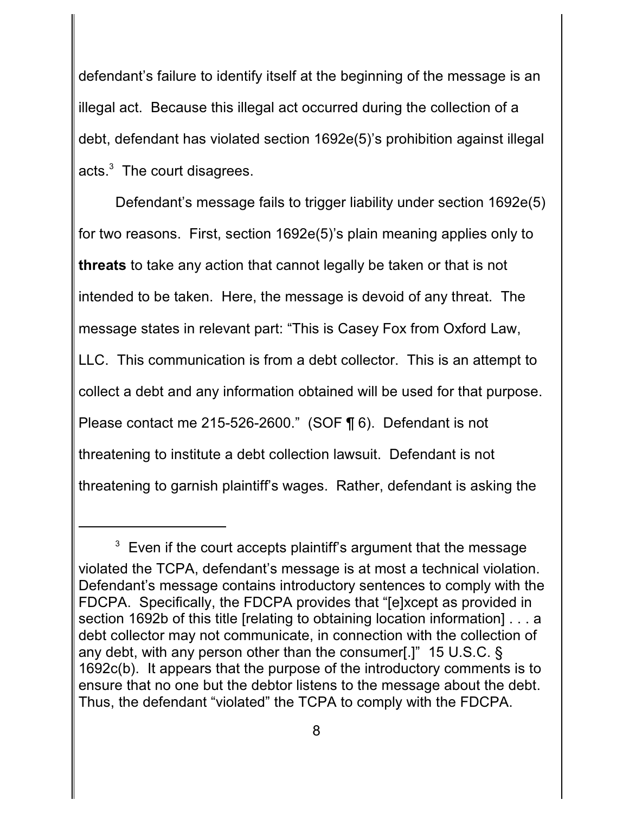defendant's failure to identify itself at the beginning of the message is an illegal act. Because this illegal act occurred during the collection of a debt, defendant has violated section 1692e(5)'s prohibition against illegal acts. $3$  The court disagrees.

Defendant's message fails to trigger liability under section 1692e(5) for two reasons. First, section 1692e(5)'s plain meaning applies only to **threats** to take any action that cannot legally be taken or that is not intended to be taken. Here, the message is devoid of any threat. The message states in relevant part: "This is Casey Fox from Oxford Law, LLC. This communication is from a debt collector. This is an attempt to collect a debt and any information obtained will be used for that purpose. Please contact me 215-526-2600." (SOF ¶ 6). Defendant is not threatening to institute a debt collection lawsuit. Defendant is not threatening to garnish plaintiff's wages. Rather, defendant is asking the

 $3$  Even if the court accepts plaintiff's argument that the message violated the TCPA, defendant's message is at most a technical violation. Defendant's message contains introductory sentences to comply with the FDCPA. Specifically, the FDCPA provides that "[e]xcept as provided in section 1692b of this title [relating to obtaining location information] . . . a debt collector may not communicate, in connection with the collection of any debt, with any person other than the consumer[.]" 15 U.S.C. § 1692c(b). It appears that the purpose of the introductory comments is to ensure that no one but the debtor listens to the message about the debt. Thus, the defendant "violated" the TCPA to comply with the FDCPA.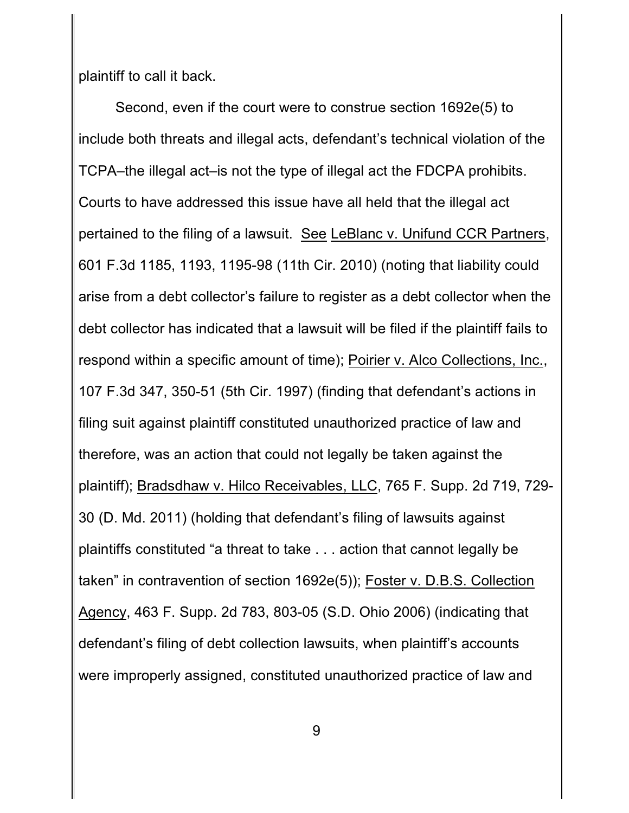plaintiff to call it back.

Second, even if the court were to construe section 1692e(5) to include both threats and illegal acts, defendant's technical violation of the TCPA–the illegal act–is not the type of illegal act the FDCPA prohibits. Courts to have addressed this issue have all held that the illegal act pertained to the filing of a lawsuit. See LeBlanc v. Unifund CCR Partners, 601 F.3d 1185, 1193, 1195-98 (11th Cir. 2010) (noting that liability could arise from a debt collector's failure to register as a debt collector when the debt collector has indicated that a lawsuit will be filed if the plaintiff fails to respond within a specific amount of time); Poirier v. Alco Collections, Inc., 107 F.3d 347, 350-51 (5th Cir. 1997) (finding that defendant's actions in filing suit against plaintiff constituted unauthorized practice of law and therefore, was an action that could not legally be taken against the plaintiff); Bradsdhaw v. Hilco Receivables, LLC, 765 F. Supp. 2d 719, 729- 30 (D. Md. 2011) (holding that defendant's filing of lawsuits against plaintiffs constituted "a threat to take . . . action that cannot legally be taken" in contravention of section 1692e(5)); Foster v. D.B.S. Collection Agency, 463 F. Supp. 2d 783, 803-05 (S.D. Ohio 2006) (indicating that defendant's filing of debt collection lawsuits, when plaintiff's accounts were improperly assigned, constituted unauthorized practice of law and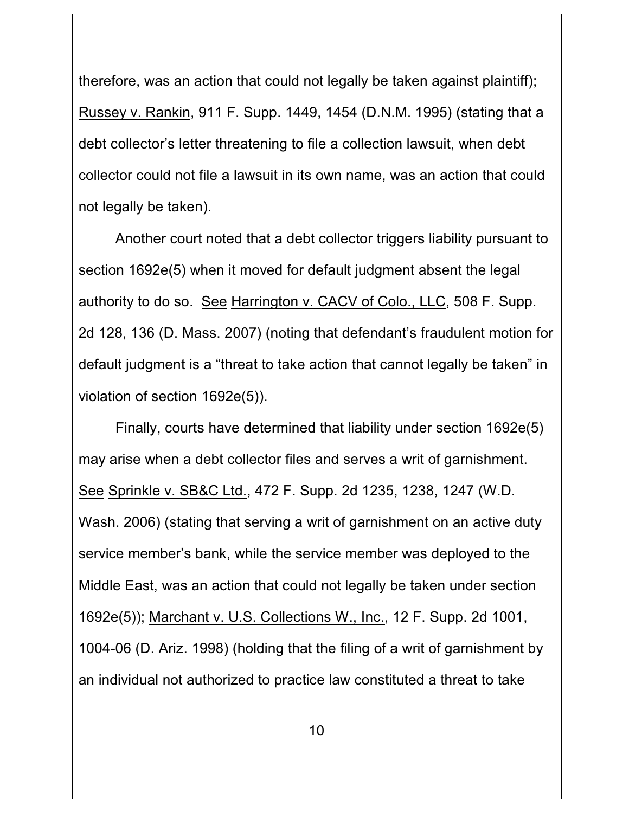therefore, was an action that could not legally be taken against plaintiff); Russey v. Rankin, 911 F. Supp. 1449, 1454 (D.N.M. 1995) (stating that a debt collector's letter threatening to file a collection lawsuit, when debt collector could not file a lawsuit in its own name, was an action that could not legally be taken).

Another court noted that a debt collector triggers liability pursuant to section 1692e(5) when it moved for default judgment absent the legal authority to do so. See Harrington v. CACV of Colo., LLC, 508 F. Supp. 2d 128, 136 (D. Mass. 2007) (noting that defendant's fraudulent motion for default judgment is a "threat to take action that cannot legally be taken" in violation of section 1692e(5)).

Finally, courts have determined that liability under section 1692e(5) may arise when a debt collector files and serves a writ of garnishment. See Sprinkle v. SB&C Ltd., 472 F. Supp. 2d 1235, 1238, 1247 (W.D. Wash. 2006) (stating that serving a writ of garnishment on an active duty service member's bank, while the service member was deployed to the Middle East, was an action that could not legally be taken under section 1692e(5)); Marchant v. U.S. Collections W., Inc., 12 F. Supp. 2d 1001, 1004-06 (D. Ariz. 1998) (holding that the filing of a writ of garnishment by an individual not authorized to practice law constituted a threat to take